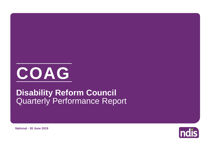# **COAG**

# Quarterly Performance Report **Disability Reform Council**

**ndis** 

**National - 30 June 2019**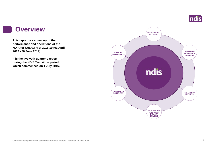

### **Overview**

**This report is a summary of the performance and operations of the NDIA for Quarter 4 of 2018-19 (01 April 2019 - 30 June 2019).**

**It is the twelveth quarterly report during the NDIS Transition period, which commenced on 1 July 2016.** 

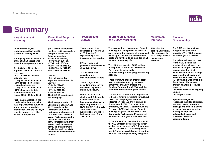# **Summary**

### **Participants and Planning**

### **An additional 27,853 participants with plans this quarter (excluding ECEI).**

**The Agency has achieved 93% of the 2018-19 operational target for new plan approvals.**

**As at 30 June 2019, plans approved and ECEI referrals represent: • 61% of 2018-19 bilateral estimate met (1 July 2018 - 30 June 2019) • 69% of transition to date bilateral estimate met (1 July 2016 - 30 June 2019) • 72% of scheme to date bilateral estimate met (1 July 2013 - 30 June 2019)**

**Participant satisfaction has continued to improve, with 90% of participants surveyed in the quarter rating their satisfaction with the Agency's planning process as either 'Good' or 'Very Good'.**

#### **\$18.0 billion for supports has been paid to providers and participants since Scheme inception: • \$85.8m in 2013-14, • \$370.9m in 2014-15, • \$704.1m in 2015-16, • \$2,181.4m in 2016-17,**

**Committed Supports** 

**and Payments**

**• \$5,387.2m in 2017-18,**

**• \$9,289.0m in 2018-19.**

#### **Overall, • 65% of committed supports were utilised in 2013-14, • 75% in 2014-15, • 75% in 2015-16, • 67% in 2016-17, • 70% in 2017-18. The 2018-19 experience is**

**still emerging.**

**The lower proportion of utilisation in 2016-17 and 2017-18 reflects the increased amount of participants who received their first plans in these years. Participants tend to utilise less of their first plan, compared with their second and subsequent plans, as it takes time to familiarise with the NDIS and decide which supports** 

**There were 21,510 registered providers as at 30 June 2019, representing a 6% increase for the quarter.** 

**Providers and Markets**

**57% of registered providers were active as at 30 June 2019.**

**46% of registered providers are individuals/sole traders.**

**25% of registered providers are receiving 80-95% of payments made by the NDIA.**

**Note: The new NDIS Quality and Safeguards Commission (NQSC) has been established to regulate providers in NSW and SA from 1 July 2018, and other jurisdictions are due to be incorporated from July 2019.**

**The Information, Linkages and Capacity Building (ILC) component of the NDIS aims to build the capacity of people with disability in Australia to achieve their goals and for them to be included in all** 

**Information, Linkages and Capacity Building**

**aspects community life.**

**The NDIA has invested \$65.9 million during 2019 to States and Territories Governments, prior to the commissioning of new programs during 2019-20.**

**There were two national interim grant rounds administrated by the NDIA, namely the Disability People and Families Organisation (DPFO) and the Economic Participation grant rounds.**

**The NDIA will continue the progressive roll-out of funding programs throughout 2019. The first program National Information Program (NIP) opened on Friday 5 April 2019. The other three programs, Individual Capacity Building Program (ICBP), Mainstream Capacity Building Program and Economic and Community Participation Program will be released throughout 2019 and 2020.** 

**In December 2018, the NDIA introduced the 'ILC Strategy Towards 2022' which guides the investment of ILC funds from 2019-20 to 2021-22. This strategy will see ILC administered through these four discrete, but complementary programs.**

**93% of active participants with a plan approved in 2018-19 Q4 access mainstream services.**

**Mainstream Interface**

> **The NDIS has been within budget each year of its operation. The NDIS remains within budget for 2018-19.**

**Financial Sustainability**

**The primary drivers of costs to the NDIS include the number of participants, the amount of support allocated to each plan, how that allocated amount will change over time, the utilisation of individual supports, and the rate at which participants exit the Scheme. The current primary financial pressures relate to:**

- **Scheme access and ongoing eligibility**
- **Participant costs**

**Specific management responses include: participant pathway review, reference package and guided planning process, improved decision making for support independent living and specialist disability accommodation.**

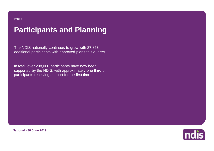# **Participants and Planning**

The NDIS nationally continues to grow with 27,853 additional participants with approved plans this quarter.

In total, over 298,000 participants have now been supported by the NDIS, with approximately one third of participants receiving support for the first time.

**Indis** 

**National - 30 June 2019**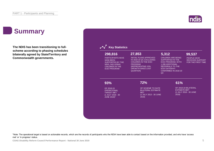# **Summary**

**The NDIS has been transitioning to fullscheme according to phasing schedules bilaterally agreed by State/Territory and Commonwealth governments.**

| 298,816                                                                                                                                    | 27,853                                                                                                                                                                         | 5,312                                                                                                                                                                          | 99,537                                                       |  |
|--------------------------------------------------------------------------------------------------------------------------------------------|--------------------------------------------------------------------------------------------------------------------------------------------------------------------------------|--------------------------------------------------------------------------------------------------------------------------------------------------------------------------------|--------------------------------------------------------------|--|
| <b>PARTICIPANTS HAVE</b><br><b>NOW BEEN</b><br>SUPPORTED BY THE<br><b>NDIS, INCLUDING</b><br><b>CHILDREN IN THE</b><br><b>ECEI PROGRAM</b> | <b>INITIAL PLANS APPROVED</b><br>IN 2018-19 Q4, EXCLUDING<br><b>CHILDREN IN THE ECEI</b><br><b>PROGRAM</b><br>(REPRESENTING 10%<br><b>GROWTH SINCE LAST</b><br><b>QUARTER)</b> | <b>CHILDREN ARE BEING</b><br>SUPPORTED IN THE<br><b>ECEI PROGRAM, WITH</b><br>1,288 ADDITIONAL<br><b>REFERRALS TO THE</b><br><b>ECEI GATEWAY</b><br>CONFIRMED IN 2018-19<br>Q4 | PEOPLE HAVE<br><b>RECEIVED SUPPORT</b><br>FOR THE FIRST TIME |  |
| 93%                                                                                                                                        | 72%                                                                                                                                                                            | 61%                                                                                                                                                                            |                                                              |  |
| OF 2018-19<br><b>OPERATIONAL</b>                                                                                                           | OF SCHEME TO DATE<br><b>BILATERAL ESTIMATE</b>                                                                                                                                 | OF 2018-19 BILATERAL<br><b>ESTIMATE MET</b>                                                                                                                                    |                                                              |  |
| <b>TARGET MET</b><br>(1 JULY 2018 - 30<br><b>JUNE 2019)*</b>                                                                               | <b>MET</b><br>(1 JULY 2013 - 30 JUNE)<br>2019)                                                                                                                                 | 2019)                                                                                                                                                                          | (1 JULY 2018 - 30 JUNE                                       |  |

\*Note: The operational target is based on actionable records, which are the records of participants who the NDIA have been able to contact based on the information provided, and who have 'access met' or 'in progress' status.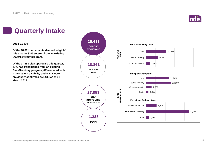

# **Quarterly Intake**

### **2018-19 Q4**

**Of the 18,861 participants deemed 'eligible' this quarter 33% entered from an existing State/Territory program.**

**Of the 27,853 plan approvals this quarter, 47% had transitioned from an existing State/Territory program, 81% entered with a permanent disability and 4,274 were previously confirmed as ECEI as at 31 March 2019.**

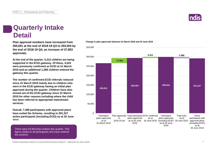

# **Quarterly Intake Detail**

**Plan approval numbers have increased from 265,651 at the end of 2018-19 Q3 to 293,504 by the end of 2018-19 Q4, an increase of 27,853 approvals.**

**At the end of the quarter, 5,312 children are being supported in the ECEI gateway. Of these, 4,024 were previously confirmed as ECEI at 31 March 2019 and an additional 1,288 children entered the gateway this quarter.**

**The number of confirmed ECEI referrals reduced since 31 March 2019 mainly due to children who were in the ECEI gateway having an initial plan approved during the quarter. Children have also moved out of the ECEI gateway since 31 March 2019 for other reasons including where the child has been referred to appropriate mainstream services.**

**Overall, 7,489 participants with approved plans have exited the Scheme, resulting in 291,327 active participants (including ECEI) as at 30 June 2019.**

There were 63,904 plan reviews this quarter. This figure relates to all participants who have entered the scheme.

#### **Change in plan approvals between 31 March 2019 and 30 June 2019**



**COAG Disability Reform Council Performance Report - National 30 June 2019** 7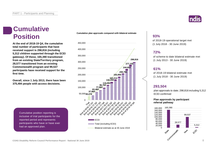# **Cumulative Position**

**At the end of 2018-19 Q4, the cumulative total number of participants that have received support is 298,816 (including 5,312 children supported through the ECEI gateway). Of these, 165,390 transitioned from an existing State/Territory program, 28,577 transitioned from an existing Commonwealth program and 99,537 participants have received support for the first time.**

**Overall, since 1 July 2013, there have been 375,494 people with access decisions.**

> Cumulative position reporting is inclusive of trial participants for the reported period and represents participants who have or have ever had an approved plan.

**Cumulative plan approvals compared with bilateral estimate**





### **93%**

of 2018-19 operational target met (1 July 2018 - 30 June 2019)

### **72%**

of scheme to date bilateral estimate met (1 July 2013 - 30 June 2019)

### **61%**

of 2018-19 bilateral estimate met (1 July 2018 - 30 June 2019)

### **293,504**

plan approvals to date; 298,816 including 5,312 ECEI confirmed

### **Plan approvals by participant referral pathway**

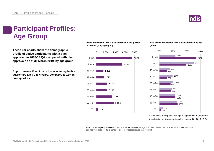

# **Participant Profiles: Age Group**

**These bar charts show the demographic profile of active participants with a plan approved in 2018-19 Q4, compared with plan approvals as at 31 March 2019, by age group.**

**Approximately 27% of participants entering in this quarter are aged 0 to 6 years, compared to 12% in prior quarters.**

**Active participants with a plan approved in the quarter of 2018-19 Q4 by age group**



**% of active participants with a plan approved by age group**



■% of active participants with a plan approved in prior quarters ■% of active participants with a plan approved in 2018-19 Q4

Note: The age eligibility requirements for the NDIS are based on the age as at the access request date. Participants with their initial plan approved aged 65+ have turned 65 since their access request was received.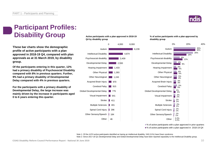

# **Participant Profiles: Disability Group**

**These bar charts show the demographic profile of active participants with a plan approved in 2018-19 Q4, compared with plan approvals as at 31 March 2019, by disability group.**

**Of the participants entering in this quarter, 12% had a primary disability of Psychosocial Disability compared with 8% in previous quarters. Further, 9% had a primary disability of Developmental Delay compared with 4% in previous quarters.**

**For the participants with a primary disability of Developmental Delay, the large increase was mainly driven by the increase in participants aged 0 to 6 years entering this quarter.**

**Active participants with a plan approved in 2018-19 Q4 by disability group**



**% of active participants with a plan approved by disability group**



■ % of active participants with a plan approved in prior quarters ■% of active participants with a plan approved in 2018-19 Q4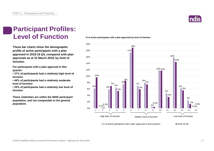

# **Participant Profiles: Level of Function**

**These bar charts show the demographic profile of active participants with a plan approved in 2018-19 Q4, compared with plan approvals as at 31 March 2019, by level of function.**

**For participants with a plan approval in this quarter:** 

**• 31% of participants had a relatively high level of function**

**• 44% of participants had a relatively moderate level of function** 

**• 25% of participants had a relatively low level of function**

**These relativities are within the NDIS participant population, and not comparable to the general population.**

**% of active participants with a plan approved by level of function**

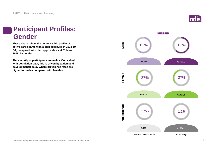# **Participant Profiles: Gender**

**These charts show the demographic profile of active participants with a plan approved in 2018-19 Q4, compared with plan approvals as at 31 March 2019, by gender.**

**The majority of participants are males. Consistent with population data, this is driven by autism and developmental delay where prevalence rates are higher for males compared with females.**



**GENDER**

**Up to 31 March 2019 2018-19 Q4**

**Male**

**Female**

**Indeterminate**

Indeterminate

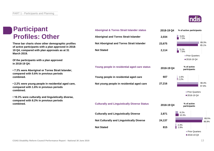### **Participant Profiles: Other**

**These bar charts show other demographic profiles of active participants with a plan approved in 2018- 19 Q4, compared with plan approvals as at 31 March 2019.**

**Of the participants with a plan approved in 2018-19 Q4:**

**• 7.3% were Aboriginal or Torres Strait Islander, compared with 5.6% in previous periods combined.**

**• 2.2% were young people in residential aged care, compared with 1.6% in previous periods combined.**

**• 10.3% were culturally and linguistically diverse, compared with 8.2% in previous periods combined.**



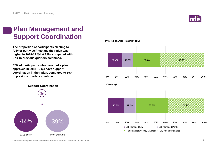

# **Plan Management and Support Coordination**

**The proportion of participants electing to fully or partly self-manage their plan was higher in 2018-19 Q4 at 29%, compared with 27% in previous quarters combined.**

**42% of participants who have had a plan approved in 2018-19 Q4 have support coordination in their plan, compared to 39% in previous quarters combined.**



**Previous quarters (transition only)**



**COAG Disability Reform Council Performance Report - National 30 June 2019** 14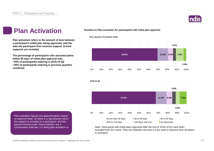

### **Plan Activation**

**Plan activation refers to the amount of time between a participant's initial plan being approved, and the date the participant first receives support. In-kind supports are included.** 

**The percentage of participants who activated plans within 90 days of initial plan approval was:** 

**• 85% of participants entering in 2018-19 Q2**

**• 86% of participants entering in previous quarters combined**

**Duration to Plan activation for participants with initial plan approval**

**Prior Quarters (Transition Only)**





Note: Participants with initial plans approved after the end of 2018-19 Q2 have been excluded from the charts. They are relatively new and it is too early to examine their durations to activation.

Plan activation figures are approximations based on payment data. As there is a lag between when the support is provided to a participant, and the payment being made, these statistics are a conservative estimate; it is likely plan activation is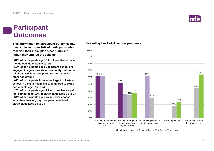### **Participant Outcomes**

**This information on participant outcomes has been collected from 99% of participants who received their initial plan since 1 July 2016 (when they entered the scheme).**

**• 61% of participants aged 0 to 14 are able to make friends outside of family/carers**

**• 52% of participants aged 0 to before school are engaged in age appropriate community, cultural or religious activities, compared to 34% - 37% for other age groups**

**• 61% of participants from school age to 14 attend school in a mainstream class, compared to 30% of participants aged 15 to 24**

**• 23% of participants aged 25 and over have a paid job, compared to 17% of participants aged 15 to 24 • 64% of participants aged 25 and over choose what they do every day, compared to 44% of participants aged 15 to 24**

#### **Selected key baseline indicators for participants**



 $\Box$ 0 to before school  $\Box$  School to 14  $\Box$  15 to 24  $\Box$  25 and over

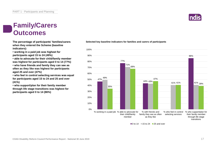# **Family/Carers Outcomes**

**The percentage of participants' families/carers when they entered the Scheme (baseline indicators):**

**• working in a paid job was highest for participants aged 15 to 24 (49%)**

**• able to advocate for their child/family member was highest for participants aged 0 to 14 (77%)**

**• who have friends and family they can see as often as they like was highest for participants aged 25 and over (47%)**

**• who feel in control selecting services was equal for participants aged 15 to 24 and 25 and over (41%)**

**• who support/plan for their family member through life stage transitions was highest for participants aged 0 to 14 (86%)**

### **Selected key baseline indicators for families and carers of participants**



 $\Box$  0 to 14  $\Box$  15 to 24  $\Box$  25 and over

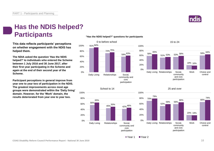

# **Has the NDIS helped? Participants**

**This data reflects participants' perceptions on whether engagement with the NDIS has helped them.**

**The NDIA asked the question 'Has the NDIS helped?' to individuals who entered the Scheme between 1 July 2016 and 30 June 2017, after their first year participating in the Scheme and again at the end of their second year of the Scheme.**

**Participant perceptions in general improve from year one to year two of participation in the NDIS. The greatest improvements across most age groups were demonstrated within the 'Daily living' domain. However, for the 'Work' domain, the results deteriorated from year one to year two.**

### **"Has the NDIS helped?" questions for participants**









■ Year 1 ■ Year 2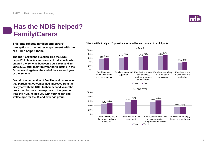# **Has the NDIS helped? Family/Carers**

**This data reflects families and carers' perceptions on whether engagement with the NDIS has helped them.**

**The NDIA asked the question 'Has the NDIS helped?' to families and carers of individuals who entered the Scheme between 1 July 2016 and 30 June 2017, after their first year participating in the Scheme and again at the end of their second year of the Scheme.**

**Overall, the perception of families and carers was that participant outcomes had improved from the first year with the NDIS to their second year. The one exception was the response to the question 'Has the NDIS helped you with your health and wellbeing?' for the 15 and over age group.**

### **"Has the NDIS helped?" questions for families and carers of participants**



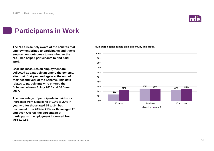

# **Participants in Work**

**The NDIA is acutely aware of the benefits that employment brings to participants and tracks employment outcomes to see whether the NDIS has helped participants to find paid work.**

**Baseline measures on employment are collected as a participant enters the Scheme, after their first year and again at the end of their second year of the Scheme. This data relates to participants who entered the Scheme between 1 July 2016 and 30 June 2017.**

**The percentage of participants in paid work increased from a baseline of 13% to 22% in year two for those aged 15 to 24, but decreased from 26% to 25% for those aged 25 and over. Overall, the percentage of participants in employment increased from 23% to 24%.**

**NDIS participants in paid employment, by age group.**

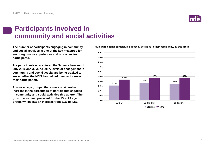# **Participants involved in community and social activities**

**The number of participants engaging in community and social activities is one of the key measures for ensuring quality experiences and outcomes for participants.**

**For participants who entered the Scheme between 1 July 2016 and 30 June 2017, levels of engagement in community and social activity are being tracked to see whether the NDIS has helped them to increase their participation.**

**Across all age groups, there was considerable increase in the percentage of participants engaged in community and social activities this quarter. The growth was most prevalent for the 15 to 24 age group, which saw an increase from 31% to 43%.**

**NDIS participants participating in social activities in their community, by age group.**



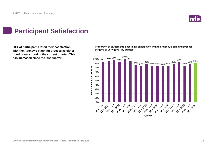

# **Participant Satisfaction**

**90% of participants rated their satisfaction with the Agency's planning process as either good or very good in the current quarter. This**  has increased since the last quarter. **100%** 98% 98% 98% 98%

**Proportion of participants describing satisfaction with the Agency's planning process as good or very good - by quarter**

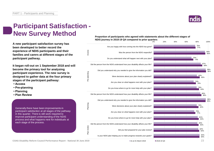

# **Participant Satisfaction - New Survey Method**

**A new participant satisfaction survey has been developed to better record the experience of NDIS participants and their families and carers at different stages of the participant pathway.**

**It began roll-out on 1 September 2018 and will become the primary tool for analysing participant experience. The new survey is designed to gather data at the four primary stages of the participant pathway:**

- **Access**
- **Pre-planning**
- **Planning**
- **Plan Review**

Generally there have been improvements in participant satisfaction at all stages of the pathway in this quarter. There is still work required to improve participant understanding of the NDIS process and what happens next for individuals at each stage of the process.





 $\blacksquare$  As at 31 March 2019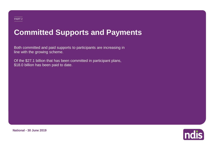# **Committed Supports and Payments**

Both committed and paid supports to participants are increasing in line with the growing scheme.

Of the \$27.1 billion that has been committed in participant plans, \$18.0 billion has been paid to date.

**National - 30 June 2019**

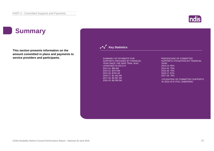### **ndis**

# **Summary**

**This section presents information on the amount committed in plans and payments to service providers and participants.**

### **Key Statistics**

SUMMARY OF PAYMENTS FOR SUPPORTS PROVIDED BY FINANCIAL YEAR SINCE THE NDIS TRIAL WAS LAUNCHED IN 2013-14: 2013-14: \$85.8M 2014-15: \$370.9M 2015-16: \$704.1M 2016-17: \$2,181.4M 2017-18: \$5,387.2M 2018-19: \$9,289.0M.

#### PERCENTAGE OF COMMITTED SUPPORTS UTILISATION BY FINANCIAL YEAR: 2013-14: 65% 2014-15: 75% 2015-16: 75% 2016-17: 67% 2017-18: 70%

UTILISATION OF COMMITTED SUPPORTS IN 2018-19 IS STILL EMERGING.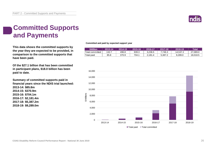

# **Committed Supports and Payments**

**This data shows the committed supports by the year they are expected to be provided, in comparison to the committed supports that have been paid.**

**Of the \$27.1 billion that has been committed in participant plans, \$18.0 billion has been paid to date.**

**Summary of committed supports paid in financial years since the NDIS trial launched: 2013-14: \$85.8m 2014-15: \$370.9m 2015-16: \$704.1m 2016-17: \$2,181.4m 2017-18: \$5,387.2m 2018-19: \$9,289.0m**

**Committed and paid by expected support year**

| <b>\$Million</b> | 2013-14 | 2014-15 | 2015-16 | 2016-17 | $2017 - 18$ | .2018-19 | Total    |
|------------------|---------|---------|---------|---------|-------------|----------|----------|
| Total committed  | 132.7   | 496.8   | 939.3   | 3.236.5 | .746.3      | 14.537.2 | 27.089.0 |
| Total paid       | 85.8    | 370.9   | 704.1   | 2.181.4 | 5.387.2     | 9.289.0  | 18,018.5 |

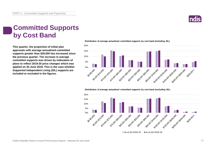

# **Committed Supports by Cost Band**

**This quarter, the proportion of initial plan approvals with average annualised committed supports greater than \$30,000 has increased since the previous quarter. The increase in average committed supports was driven by indexation of plans to reflect 2019-20 price changes which was applied on 30 June 2019. This is the case whether Supported Independent Living (SIL) supports are included or excluded in the figures.**

**Distribution of average annualised committed supports by cost band (including SIL)** 



**Distribution of average annualised committed supports by cost band (excluding SIL)** 

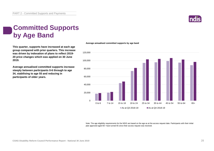

# **Committed Supports by Age Band**

**This quarter, supports have increased at each age group compared with prior quarters. This increase was driven by indexation of plans to reflect 2019- 20 price changes which was applied on 30 June 2019.** 

**Average annualised committed supports increase steeply between participants 0-6 through to age 34, stabilising to age 55 and reducing in participants of older years.**



#### **Average annualised committed supports by age band**

Note: The age eligibility requirements for the NDIS are based on the age as at the access request date. Participants with their initial plan approved aged 65+ have turned 65 since their access request was received.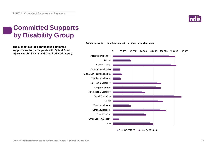

# **Committed Supports by Disability Group**

**The highest average annualised committed supports are for participants with Spinal Cord Injury, Cerebral Palsy and Acquired Brain Injury.**



As at Q3 2018-19  $\blacksquare$  As at Q4 2018-19

**Average annualised committed supports by primary disability group**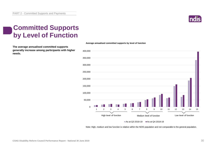

# **Committed Supports by Level of Function**

**The average annualised committed supports generally increase among participants with higher needs.** 



**Average annualised committed supports by level of function**

#### As at Q3 2018-19  $\blacksquare$  As at Q4 2018-19

Note: High, medium and low function is relative within the NDIS population and not comparable to the general population.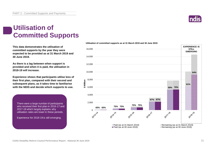

# **Utilisation of Committed Supports**

**This data demonstrates the utilisation of committed supports by the year they were expected to be provided as at 31 March 2019 and 30 June 2019.** 

**As there is a lag between when support is provided and when it is paid, the utilisation in 2018-19 will increase.**

**Experience shows that participants utilise less of their first plan, compared with their second and subsequent plans, as it takes time to familiarise with the NDIS and decide which supports to use.** 

There were a large number of participants who received their first plan in 2016-17 and 2017-18 which largely explains why utilisation rates are lower in these periods.

Experience for 2018-19 is still emerging.



#### **Utilisation of committed supports as at 31 March 2019 and 30 June 2019**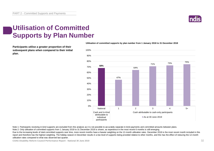

# **Utilisation of Committed Supports by Plan Number**

**Participants utilise a greater proportion of their subsequent plans when compared to their initial plan.** 



**Utilisation of committed supports by plan number from 1 January 2018 to 31 December 2018**

Note 1: Participants receiving in-kind supports are excluded from this analysis as it is not possible to accurately separate in-kind payments and committed amounts between plans.

Note 2: Only utilisation of committed supports from 1 January 2018 to 31 December 2018 is shown, as experience in the most recent 6 months is still emerging.

Due to the increasing levels of total committed supports over time, more recent months have a heavier weighting on the 12-month utilisation rates. December 2018 is the most recent month included in this report and therefore has the highest weighting. The holiday season in December results in a low level of supports being provided relative to other months, and this has the effect of reducing the 12-month utilisation rates compared to what was observed last quarter.

**COAG Disability Reform Council Performance Report - National 30 June 2019** 32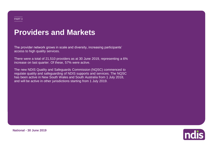# **Providers and Markets**

The provider network grows in scale and diversity, increasing participants' access to high quality services.

There were a total of 21,510 providers as at 30 June 2019, representing a 6% increase on last quarter. Of these, 57% were active.

The new NDIS Quality and Safeguards Commission (NQSC) commenced to regulate quality and safeguarding of NDIS supports and services. The NQSC has been active in New South Wales and South Australia from 1 July 2018, and will be active in other jurisdictions starting from 1 July 2019.



**National - 30 June 2019**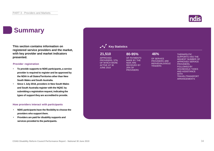## **Summary**

**This section contains information on registered service providers and the market, with key provider and market indicators presented.**

### **Provider registration**

- **To provide supports to NDIS participants, a service provider is required to register and be approved by the NDIA in all States/Territories other than New South Wales and South Australia.**
- **Since 1 July 2018, providers in New South Wales and South Australia register with the NQSC by submitting a registration request, indicating the types of support they are accredited to provide.**

### **How providers interact with participants**

- **NDIS participants have the flexibility to choose the providers who support them.**
- **Providers are paid for disability supports and services provided to the participants.**



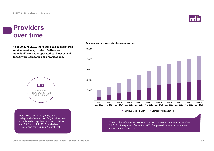### **Providers over time**

**As at 30 June 2019, there were 21,510 registered service providers, of which 9,824 were individual/sole trader operated businesses and 11,686 were companies or organisations.**



Note: The new NDIS Quality and Safeguards Commission (NQSC) has been established to regulate providers in NSW and SA from 1 July 2018, and other jurisdictions starting from 1 July 2019.

#### **Approved providers over time by type of provider**



The number of approved service providers increased by 6% from 20,208 to 21,510 in the quarter. Currently, 46% of approved service providers are individuals/sole traders.

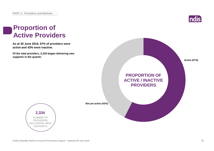

## **Proportion of Active Providers**

**As at 30 June 2019, 57% of providers were active and 43% were inactive.**

**Of the total providers, 2,334 began delivering new supports in the quarter.**





**Not yet active (43%)**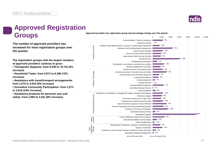

# **Approved Registration Groups**

**The number of approved providers has increased for most registration groups over the quarter.**

**The registration groups with the largest numbers of approved providers continue to grow:**

**• Therapeutic Supports: from 9,539 to 10,132 (6% increase)**

**• Household Tasks: from 5,813 to 6,368 (10% increase)**

**• Assistance with travel/transport arrangements: from 4,279 to 4,644 (9% increase)**

**• Innovative Community Participation: from 3,273 to 3,616 (10% increase)**

**• Assistance products for personal care and safety: from 2,992 to 3,261 (9% increase)**

**Approved providers by registration group and percentage change over the quarter**

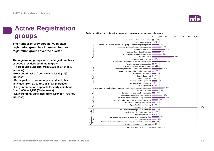

# Active providers by registration group and percentage change over the quarter<br> **groups** 1,000<br>
Accommodation / Tenancy Assistance 12% **Active Registration**

**The number of providers active in each registration group has increased for most registration groups over the quarter.**

**The registration groups with the largest numbers of active providers continue to grow:**

**• Therapeutic Supports: from 6,028 to 6,484 (8% increase)**

**• Household tasks: from 2,645 to 2,929 (11% increase)**

**• Participation in community, social and civic activities: from 1,792 to 1,953 (9% increase)**

**• Early Intervention supports for early childhood: from 1,658 to 1,753 (6% increase)**

**• Daily Personal Activities: from 1,594 to 1,736 (9% increase)**

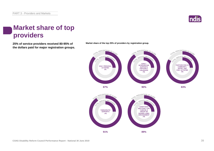

# **Market share of top providers**

**25% of service providers received 80-95% of Market share of the top 25% of providers by registration group. the dollars paid for major registration groups.**



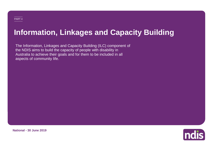# **Information, Linkages and Capacity Building**

The Information, Linkages and Capacity Building (ILC) component of the NDIS aims to build the capacity of people with disability in Australia to achieve their goals and for them to be included in all aspects of community life.



**National - 30 June 2019**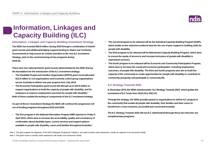

# **Information, Linkages and Capacity Building (ILC)**

### **Information, Linkages and Capacity Building Investment Strategy**

**The NDIA has invested \$65.9 million during 2019 through a combination of interim grant rounds and additional bridging support funding to States and Territories Governments to help ensure an orderly transition to the new ILC Investment Strategy, prior to the commissioning of new programs during 2019-20.**

**There were two national interim grant rounds administrated by the NDIA that lay the foundations for the introduction of the ILC investment strategy:**

- **The Disability People and Families Organisation (DPFO) grant round allocated \$15.5 million to 114 organisations and 13 priority cohort group organisations across Australia to deliver one-year projects from July 2019**
- **The Economic Participation grant round will allocate up to \$19.9 million to support organisations to build the capacity of people with disability, and for employers to improve employment outcomes for people with disability.<sup>1</sup> Both of these enabled the testing of components of the ILC investment strategy.**

**As part of the ILC Investment Strategy the NDIA will continue the progressive rollout of funding programs throughout 2019 and 2020.**

• **The first program is the National Information Program (NIP) opened on Friday 5 April 2019, which aims to increase the accessibility, quality and consistency of confirmation about disability types, current services and support options available to people with disability, carers and families throughout Australia.<sup>2</sup>**

- **The second program to be released will be the Individual Capacity Building Program (ICBP), which builds on the extensive evidence base for the use of peer support in building skills for people with disability.**
- **The third program to be released will be Mainstream Capacity Building Program, which aims to ensure the equity of access to and increase inclusions of people with disability in mainstream services.**
- **The fourth program to be released will be Economic and Community Participation Program, which aims to increase the social and economic participation, including employment outcomes, of people with disability. The third and fourth programs also aim to build the capacity of the community to create opportunities for people with disability to contribute to community prosperity and participate in community life.**

### **ILC Strategy Towards 2022**

**In December 2018, the NDIA introduced the 'ILC Strategy Towards 2022' which guides the investment of ILC funds from 2019-20 to 2021-22.**

**Through the strategy, the NDIA provides grants to organisations to deliver ILC projects in the community that enable all people with disability, their families and their carers to benefit from a more inclusive, accessible and connected Australia.**

**The ILC Strategy Towards 2022 will see ILC administered through these four discrete, but complementary programs.**

Note 1: This grant supports the objectives of the NDIS Participant Employment Taskforce, and while currently under assessment, results are expected to be announced shortly. Note 2: This grand round is currently under assessment with results to be announced shortly.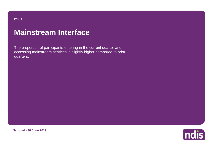# **Mainstream Interface**

The proportion of participants entering in the current quarter and accessing mainstream services is slightly higher compared to prior quarters.

**National - 30 June 2019**

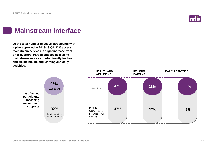

# **Mainstream Interface**

**Of the total number of active participants with a plan approved in 2018-19 Q4, 93% access mainstream services, a slight increase from prior quarters. Participants are accessing mainstream services predominantly for health and wellbeing, lifelong learning and daily activities.**

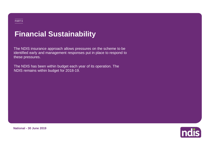# **Financial Sustainability**

The NDIS insurance approach allows pressures on the scheme to be identified early and management responses put in place to respond to these pressures.

The NDIS has been within budget each year of its operation. The NDIS remains within budget for 2018-19.

**National - 30 June 2019**